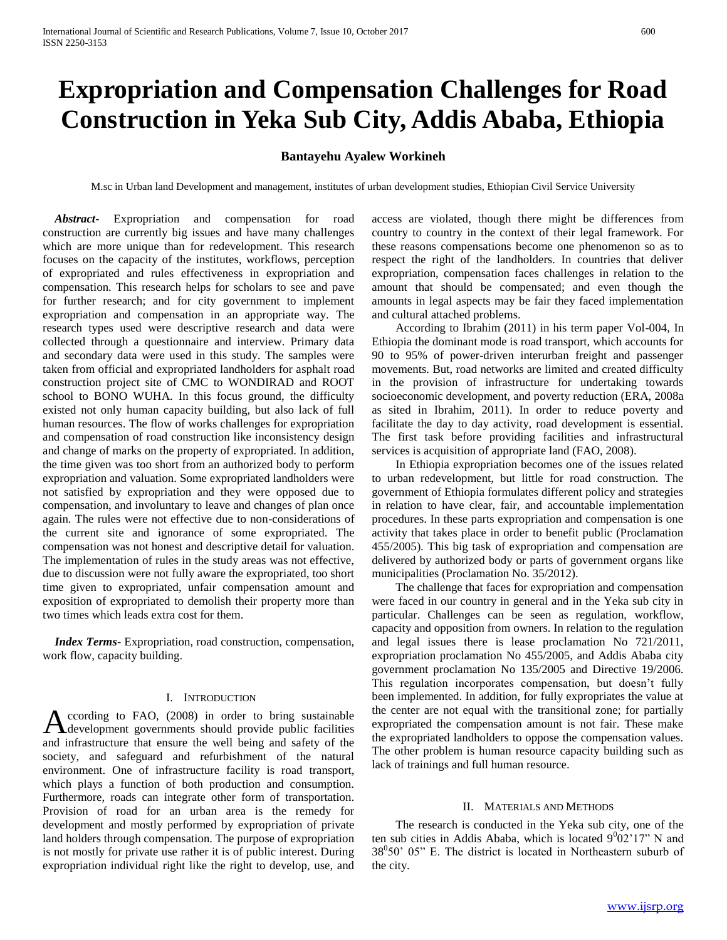# **Expropriation and Compensation Challenges for Road Construction in Yeka Sub City, Addis Ababa, Ethiopia**

# **Bantayehu Ayalew Workineh**

M.sc in Urban land Development and management, institutes of urban development studies, Ethiopian Civil Service University

 *Abstract***-** Expropriation and compensation for road construction are currently big issues and have many challenges which are more unique than for redevelopment. This research focuses on the capacity of the institutes, workflows, perception of expropriated and rules effectiveness in expropriation and compensation. This research helps for scholars to see and pave for further research; and for city government to implement expropriation and compensation in an appropriate way. The research types used were descriptive research and data were collected through a questionnaire and interview. Primary data and secondary data were used in this study. The samples were taken from official and expropriated landholders for asphalt road construction project site of CMC to WONDIRAD and ROOT school to BONO WUHA. In this focus ground, the difficulty existed not only human capacity building, but also lack of full human resources. The flow of works challenges for expropriation and compensation of road construction like inconsistency design and change of marks on the property of expropriated. In addition, the time given was too short from an authorized body to perform expropriation and valuation. Some expropriated landholders were not satisfied by expropriation and they were opposed due to compensation, and involuntary to leave and changes of plan once again. The rules were not effective due to non-considerations of the current site and ignorance of some expropriated. The compensation was not honest and descriptive detail for valuation. The implementation of rules in the study areas was not effective, due to discussion were not fully aware the expropriated, too short time given to expropriated, unfair compensation amount and exposition of expropriated to demolish their property more than two times which leads extra cost for them.

 *Index Terms*- Expropriation, road construction, compensation, work flow, capacity building.

#### I. INTRODUCTION

ccording to FAO, (2008) in order to bring sustainable According to FAO, (2008) in order to bring sustainable<br>development governments should provide public facilities and infrastructure that ensure the well being and safety of the society, and safeguard and refurbishment of the natural environment. One of infrastructure facility is road transport, which plays a function of both production and consumption. Furthermore, roads can integrate other form of transportation. Provision of road for an urban area is the remedy for development and mostly performed by expropriation of private land holders through compensation. The purpose of expropriation is not mostly for private use rather it is of public interest. During expropriation individual right like the right to develop, use, and

access are violated, though there might be differences from country to country in the context of their legal framework. For these reasons compensations become one phenomenon so as to respect the right of the landholders. In countries that deliver expropriation, compensation faces challenges in relation to the amount that should be compensated; and even though the amounts in legal aspects may be fair they faced implementation and cultural attached problems.

 According to Ibrahim (2011) in his term paper Vol-004, In Ethiopia the dominant mode is road transport, which accounts for 90 to 95% of power-driven interurban freight and passenger movements. But, road networks are limited and created difficulty in the provision of infrastructure for undertaking towards socioeconomic development, and poverty reduction (ERA, 2008a as sited in Ibrahim, 2011). In order to reduce poverty and facilitate the day to day activity, road development is essential. The first task before providing facilities and infrastructural services is acquisition of appropriate land (FAO, 2008).

 In Ethiopia expropriation becomes one of the issues related to urban redevelopment, but little for road construction. The government of Ethiopia formulates different policy and strategies in relation to have clear, fair, and accountable implementation procedures. In these parts expropriation and compensation is one activity that takes place in order to benefit public (Proclamation 455/2005). This big task of expropriation and compensation are delivered by authorized body or parts of government organs like municipalities (Proclamation No. 35/2012).

 The challenge that faces for expropriation and compensation were faced in our country in general and in the Yeka sub city in particular. Challenges can be seen as regulation, workflow, capacity and opposition from owners. In relation to the regulation and legal issues there is lease proclamation No 721/2011, expropriation proclamation No 455/2005, and Addis Ababa city government proclamation No 135/2005 and Directive 19/2006. This regulation incorporates compensation, but doesn't fully been implemented. In addition, for fully expropriates the value at the center are not equal with the transitional zone; for partially expropriated the compensation amount is not fair. These make the expropriated landholders to oppose the compensation values. The other problem is human resource capacity building such as lack of trainings and full human resource.

#### II. MATERIALS AND METHODS

 The research is conducted in the Yeka sub city, one of the ten sub cities in Addis Ababa, which is located  $9^{0}02'17''$  N and 38<sup>0</sup>50' 05" E. The district is located in Northeastern suburb of the city.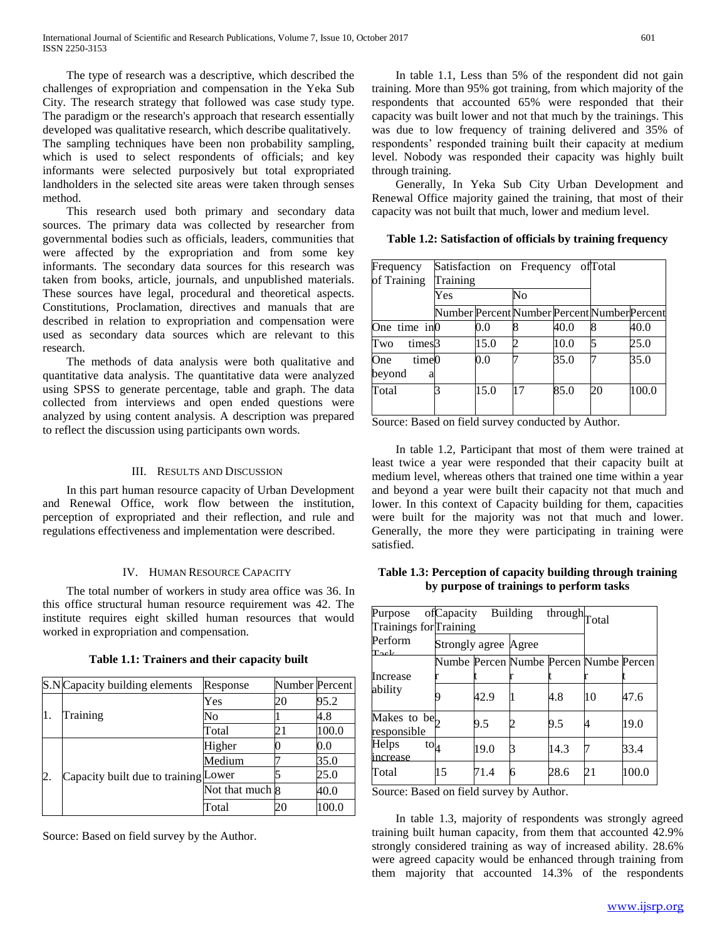The type of research was a descriptive, which described the challenges of expropriation and compensation in the Yeka Sub City. The research strategy that followed was case study type. The paradigm or the research's approach that research essentially developed was qualitative research, which describe qualitatively. The sampling techniques have been non probability sampling, which is used to select respondents of officials; and key informants were selected purposively but total expropriated landholders in the selected site areas were taken through senses method.

 This research used both primary and secondary data sources. The primary data was collected by researcher from governmental bodies such as officials, leaders, communities that were affected by the expropriation and from some key informants. The secondary data sources for this research was taken from books, article, journals, and unpublished materials. These sources have legal, procedural and theoretical aspects. Constitutions, Proclamation, directives and manuals that are described in relation to expropriation and compensation were used as secondary data sources which are relevant to this research.

 The methods of data analysis were both qualitative and quantitative data analysis. The quantitative data were analyzed using SPSS to generate percentage, table and graph. The data collected from interviews and open ended questions were analyzed by using content analysis. A description was prepared to reflect the discussion using participants own words.

#### III. RESULTS AND DISCUSSION

 In this part human resource capacity of Urban Development and Renewal Office, work flow between the institution, perception of expropriated and their reflection, and rule and regulations effectiveness and implementation were described.

# IV. HUMAN RESOURCE CAPACITY

 The total number of workers in study area office was 36. In this office structural human resource requirement was 42. The institute requires eight skilled human resources that would worked in expropriation and compensation.

|    | S.NCapacity building elements        | Response        | Number Percent |       |
|----|--------------------------------------|-----------------|----------------|-------|
| 1. |                                      | Yes             | 20             | 95.2  |
|    | Training                             | No              |                | 4.8   |
|    |                                      | Total           | 21             | 100.0 |
| 2. | Capacity built due to training Lower | Higher          |                | 0.0   |
|    |                                      | Medium          |                | 35.0  |
|    |                                      |                 |                | 25.0  |
|    |                                      | Not that much 8 |                | 40.0  |
|    |                                      | Total           | 20             | 100.0 |

**Table 1.1: Trainers and their capacity built**

Source: Based on field survey by the Author.

 In table 1.1, Less than 5% of the respondent did not gain training. More than 95% got training, from which majority of the respondents that accounted 65% were responded that their capacity was built lower and not that much by the trainings. This was due to low frequency of training delivered and 35% of respondents' responded training built their capacity at medium level. Nobody was responded their capacity was highly built through training.

 Generally, In Yeka Sub City Urban Development and Renewal Office majority gained the training, that most of their capacity was not built that much, lower and medium level.

|  |  | Table 1.2: Satisfaction of officials by training frequency |  |  |  |
|--|--|------------------------------------------------------------|--|--|--|
|--|--|------------------------------------------------------------|--|--|--|

| Frequency<br>of Training    | Satisfaction on Frequency of Total<br>Training |         |                                              |      |    |       |
|-----------------------------|------------------------------------------------|---------|----------------------------------------------|------|----|-------|
|                             | Yes                                            |         | No                                           |      |    |       |
|                             |                                                |         | Number Percent Number Percent Number Percent |      |    |       |
| One time in0                |                                                | $0.0\,$ |                                              | 40.0 |    | 40.0  |
| times <sup>3</sup><br>Two   |                                                | 15.0    | 2                                            | 10.0 |    | 25.0  |
| time0<br>One<br>beyond<br>a |                                                | $0.0\,$ |                                              | 35.0 |    | 35.0  |
| Total                       |                                                | 15.0    | 17                                           | 85.0 | 20 | 100.0 |

Source: Based on field survey conducted by Author.

 In table 1.2, Participant that most of them were trained at least twice a year were responded that their capacity built at medium level, whereas others that trained one time within a year and beyond a year were built their capacity not that much and lower. In this context of Capacity building for them, capacities were built for the majority was not that much and lower. Generally, the more they were participating in training were satisfied.

# **Table 1.3: Perception of capacity building through training by purpose of trainings to perform tasks**

| Purpose                                 | ofCapacity Building                    |      |   | through <sub>Total</sub> |    |       |
|-----------------------------------------|----------------------------------------|------|---|--------------------------|----|-------|
| Trainings for Training                  |                                        |      |   |                          |    |       |
| Perform<br>$\bf {Toob}$                 | Strongly agree Agree                   |      |   |                          |    |       |
|                                         | Numbe Percen Numbe Percen Numbe Percen |      |   |                          |    |       |
| <b>Increase</b>                         |                                        |      |   |                          |    |       |
| ability                                 |                                        | 42.9 |   | 4.8                      | 10 | 47.6  |
| Makes to be <sub>2</sub><br>responsible |                                        | 9.5  |   | 9.5                      | 4  | 19.0  |
| Helps<br>$\mathrm{to}_{4}$<br>increase  |                                        | 19.0 |   | 14.3                     |    | 33.4  |
| Total                                   | 15                                     | 71.4 | 6 | 28.6                     | 21 | 100.0 |

Source: Based on field survey by Author.

 In table 1.3, majority of respondents was strongly agreed training built human capacity, from them that accounted 42.9% strongly considered training as way of increased ability. 28.6% were agreed capacity would be enhanced through training from them majority that accounted 14.3% of the respondents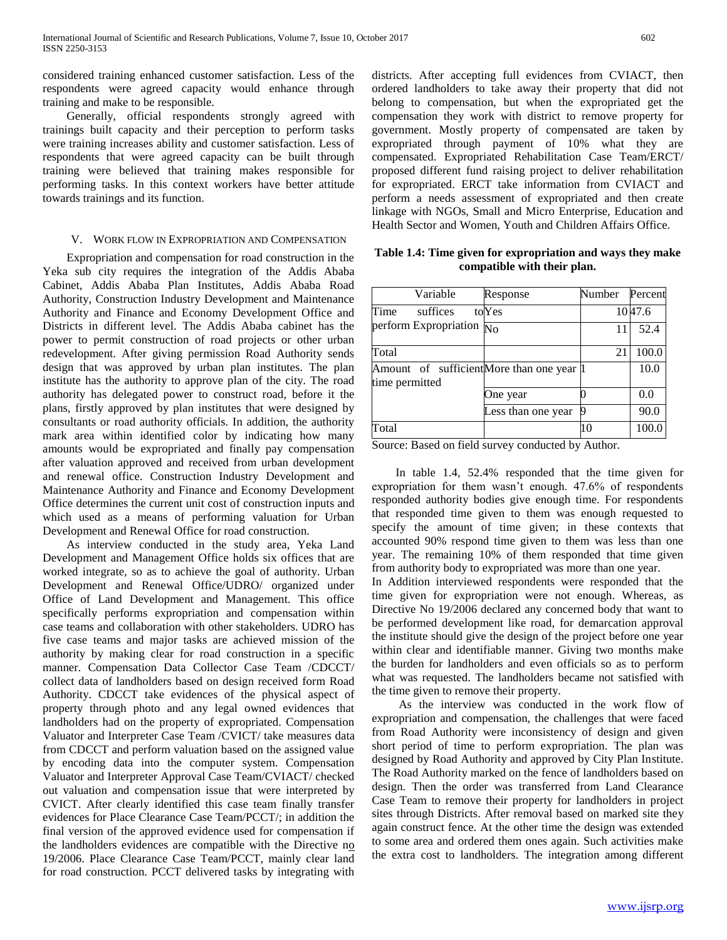considered training enhanced customer satisfaction. Less of the respondents were agreed capacity would enhance through training and make to be responsible.

 Generally, official respondents strongly agreed with trainings built capacity and their perception to perform tasks were training increases ability and customer satisfaction. Less of respondents that were agreed capacity can be built through training were believed that training makes responsible for performing tasks. In this context workers have better attitude towards trainings and its function.

#### V. WORK FLOW IN EXPROPRIATION AND COMPENSATION

 Expropriation and compensation for road construction in the Yeka sub city requires the integration of the Addis Ababa Cabinet, Addis Ababa Plan Institutes, Addis Ababa Road Authority, Construction Industry Development and Maintenance Authority and Finance and Economy Development Office and Districts in different level. The Addis Ababa cabinet has the power to permit construction of road projects or other urban redevelopment. After giving permission Road Authority sends design that was approved by urban plan institutes. The plan institute has the authority to approve plan of the city. The road authority has delegated power to construct road, before it the plans, firstly approved by plan institutes that were designed by consultants or road authority officials. In addition, the authority mark area within identified color by indicating how many amounts would be expropriated and finally pay compensation after valuation approved and received from urban development and renewal office. Construction Industry Development and Maintenance Authority and Finance and Economy Development Office determines the current unit cost of construction inputs and which used as a means of performing valuation for Urban Development and Renewal Office for road construction.

 As interview conducted in the study area, Yeka Land Development and Management Office holds six offices that are worked integrate, so as to achieve the goal of authority. Urban Development and Renewal Office/UDRO/ organized under Office of Land Development and Management. This office specifically performs expropriation and compensation within case teams and collaboration with other stakeholders. UDRO has five case teams and major tasks are achieved mission of the authority by making clear for road construction in a specific manner. Compensation Data Collector Case Team /CDCCT/ collect data of landholders based on design received form Road Authority. CDCCT take evidences of the physical aspect of property through photo and any legal owned evidences that landholders had on the property of expropriated. Compensation Valuator and Interpreter Case Team /CVICT/ take measures data from CDCCT and perform valuation based on the assigned value by encoding data into the computer system. Compensation Valuator and Interpreter Approval Case Team/CVIACT/ checked out valuation and compensation issue that were interpreted by CVICT. After clearly identified this case team finally transfer evidences for Place Clearance Case Team/PCCT/; in addition the final version of the approved evidence used for compensation if the landholders evidences are compatible with the Directive no 19/2006. Place Clearance Case Team/PCCT, mainly clear land for road construction. PCCT delivered tasks by integrating with

districts. After accepting full evidences from CVIACT, then ordered landholders to take away their property that did not belong to compensation, but when the expropriated get the compensation they work with district to remove property for government. Mostly property of compensated are taken by expropriated through payment of 10% what they are compensated. Expropriated Rehabilitation Case Team/ERCT/ proposed different fund raising project to deliver rehabilitation for expropriated. ERCT take information from CVIACT and perform a needs assessment of expropriated and then create linkage with NGOs, Small and Micro Enterprise, Education and Health Sector and Women, Youth and Children Affairs Office.

# **Table 1.4: Time given for expropriation and ways they make compatible with their plan.**

| Variable                                                     | Response           | Number | Percent |
|--------------------------------------------------------------|--------------------|--------|---------|
| Time<br>suffices                                             | toYes              |        | 1047.6  |
| perform Expropriation $\overline{No}$                        |                    | 11     | 52.4    |
| Total                                                        |                    | 21     | 100.0   |
| Amount of sufficient More than one year  1<br>time permitted |                    |        | 10.0    |
|                                                              | One year           |        | 0.0     |
|                                                              | Less than one year | q      | 90.0    |
| Total                                                        |                    | 10     | 100.0   |

Source: Based on field survey conducted by Author.

 In table 1.4, 52.4% responded that the time given for expropriation for them wasn't enough. 47.6% of respondents responded authority bodies give enough time. For respondents that responded time given to them was enough requested to specify the amount of time given; in these contexts that accounted 90% respond time given to them was less than one year. The remaining 10% of them responded that time given from authority body to expropriated was more than one year.

In Addition interviewed respondents were responded that the time given for expropriation were not enough. Whereas, as Directive No 19/2006 declared any concerned body that want to be performed development like road, for demarcation approval the institute should give the design of the project before one year within clear and identifiable manner. Giving two months make the burden for landholders and even officials so as to perform what was requested. The landholders became not satisfied with the time given to remove their property.

 As the interview was conducted in the work flow of expropriation and compensation, the challenges that were faced from Road Authority were inconsistency of design and given short period of time to perform expropriation. The plan was designed by Road Authority and approved by City Plan Institute. The Road Authority marked on the fence of landholders based on design. Then the order was transferred from Land Clearance Case Team to remove their property for landholders in project sites through Districts. After removal based on marked site they again construct fence. At the other time the design was extended to some area and ordered them ones again. Such activities make the extra cost to landholders. The integration among different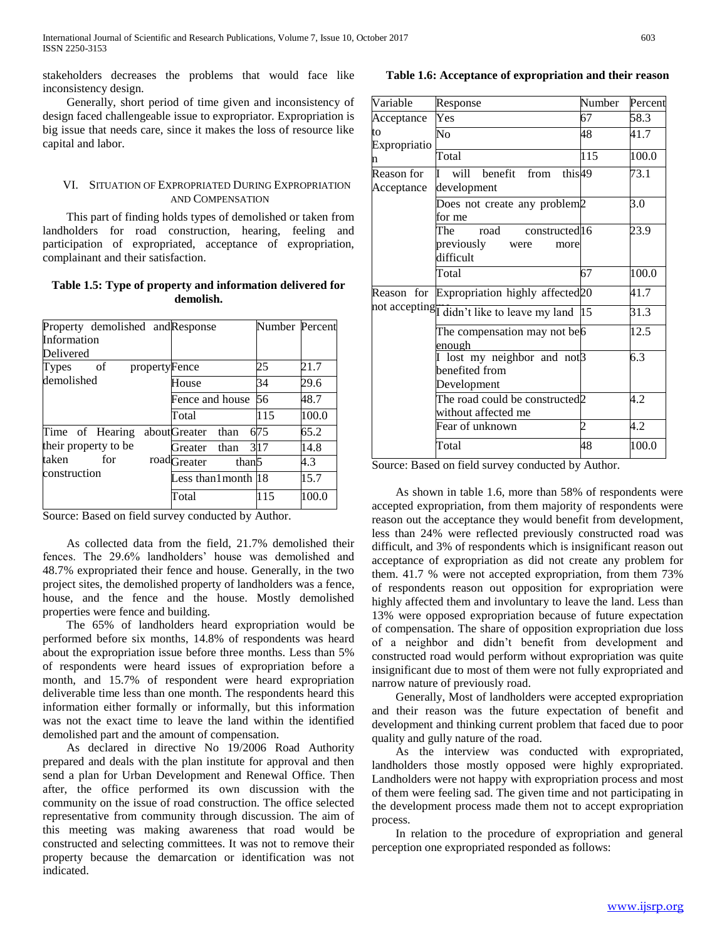stakeholders decreases the problems that would face like inconsistency design.

 Generally, short period of time given and inconsistency of design faced challengeable issue to expropriator. Expropriation is big issue that needs care, since it makes the loss of resource like capital and labor.

# VI. SITUATION OF EXPROPRIATED DURING EXPROPRIATION AND COMPENSATION

 This part of finding holds types of demolished or taken from landholders for road construction, hearing, feeling and participation of expropriated, acceptance of expropriation, complainant and their satisfaction.

# **Table 1.5: Type of property and information delivered for demolish.**

| Property demolished and Response |                                              | Number Percent |       |
|----------------------------------|----------------------------------------------|----------------|-------|
| Information                      |                                              |                |       |
| Delivered                        |                                              |                |       |
| of<br>propertyFence<br>Types     |                                              | 25             | 21.7  |
| demolished                       | House                                        | 34             | 29.6  |
|                                  | Fence and house                              | 56             | 48.7  |
|                                  | Total                                        | 115            | 100.0 |
| Time of Hearing                  | aboutGreater than                            | 675            | 65.2  |
| their property to be             | Greater than                                 | 317            | 14.8  |
| taken<br>for                     | road <sub>Greater</sub><br>than <sup>5</sup> |                | 4.3   |
| construction                     | Less than1month  18                          |                | 15.7  |
|                                  | Total                                        | 115            | 100.0 |

Source: Based on field survey conducted by Author.

 As collected data from the field, 21.7% demolished their fences. The 29.6% landholders' house was demolished and 48.7% expropriated their fence and house. Generally, in the two project sites, the demolished property of landholders was a fence, house, and the fence and the house. Mostly demolished properties were fence and building.

 The 65% of landholders heard expropriation would be performed before six months, 14.8% of respondents was heard about the expropriation issue before three months. Less than 5% of respondents were heard issues of expropriation before a month, and 15.7% of respondent were heard expropriation deliverable time less than one month. The respondents heard this information either formally or informally, but this information was not the exact time to leave the land within the identified demolished part and the amount of compensation.

 As declared in directive No 19/2006 Road Authority prepared and deals with the plan institute for approval and then send a plan for Urban Development and Renewal Office. Then after, the office performed its own discussion with the community on the issue of road construction. The office selected representative from community through discussion. The aim of this meeting was making awareness that road would be constructed and selecting committees. It was not to remove their property because the demarcation or identification was not indicated.

**Table 1.6: Acceptance of expropriation and their reason**

| Variable                 | Response                                                                 | Number     | Percent |
|--------------------------|--------------------------------------------------------------------------|------------|---------|
| Acceptance               | Yes                                                                      | 67         | 58.3    |
| tο<br>Expropriatio       | No                                                                       | 48         | 41.7    |
| n                        | Total                                                                    | 115        | 100.0   |
| Reason for<br>Acceptance | will<br>this49<br>benefit from<br>T<br>development                       |            | 73.1    |
|                          | Does not create any problem <sup>2</sup><br>for me                       |            | 3.0     |
|                          | constructed 16<br>The<br>road<br>previously<br>were<br>more<br>difficult |            | 23.9    |
|                          | Total                                                                    | 67         | 100.0   |
| Reason for               | Expropriation highly affected <sub>20</sub>                              |            | 41.7    |
|                          | not accepting didn't like to leave my land                               | $\vert$ 15 | 31.3    |
|                          | The compensation may not be <sup>6</sup><br>enough                       |            | 12.5    |
|                          | lost my neighbor and not <sup>3</sup><br>benefited from<br>Development   |            | 6.3     |
|                          | The road could be constructed <sub>2</sub><br>without affected me        |            | 4.2     |
|                          | Fear of unknown                                                          | 2          | 4.2     |
|                          | Total                                                                    | 48         | 100.0   |
|                          |                                                                          |            |         |

Source: Based on field survey conducted by Author.

 As shown in table 1.6, more than 58% of respondents were accepted expropriation, from them majority of respondents were reason out the acceptance they would benefit from development, less than 24% were reflected previously constructed road was difficult, and 3% of respondents which is insignificant reason out acceptance of expropriation as did not create any problem for them. 41.7 % were not accepted expropriation, from them 73% of respondents reason out opposition for expropriation were highly affected them and involuntary to leave the land. Less than 13% were opposed expropriation because of future expectation of compensation. The share of opposition expropriation due loss of a neighbor and didn't benefit from development and constructed road would perform without expropriation was quite insignificant due to most of them were not fully expropriated and narrow nature of previously road.

 Generally, Most of landholders were accepted expropriation and their reason was the future expectation of benefit and development and thinking current problem that faced due to poor quality and gully nature of the road.

 As the interview was conducted with expropriated, landholders those mostly opposed were highly expropriated. Landholders were not happy with expropriation process and most of them were feeling sad. The given time and not participating in the development process made them not to accept expropriation process.

 In relation to the procedure of expropriation and general perception one expropriated responded as follows: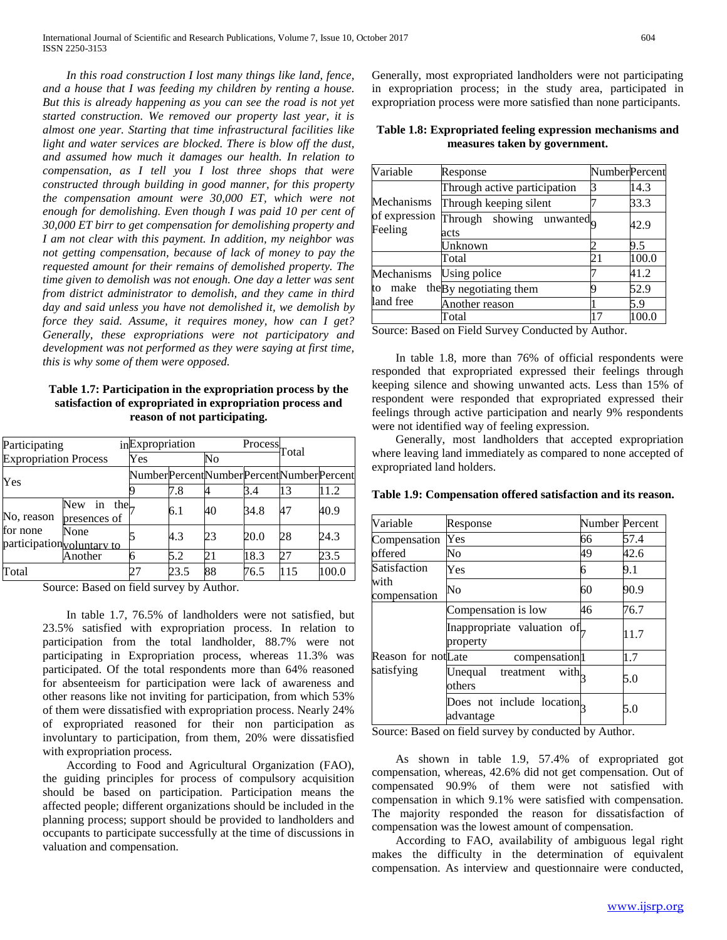*In this road construction I lost many things like land, fence, and a house that I was feeding my children by renting a house. But this is already happening as you can see the road is not yet started construction. We removed our property last year, it is almost one year. Starting that time infrastructural facilities like light and water services are blocked. There is blow off the dust, and assumed how much it damages our health. In relation to compensation, as I tell you I lost three shops that were constructed through building in good manner, for this property the compensation amount were 30,000 ET, which were not enough for demolishing. Even though I was paid 10 per cent of 30,000 ET birr to get compensation for demolishing property and I am not clear with this payment. In addition, my neighbor was not getting compensation, because of lack of money to pay the requested amount for their remains of demolished property. The time given to demolish was not enough. One day a letter was sent from district administrator to demolish, and they came in third day and said unless you have not demolished it, we demolish by force they said. Assume, it requires money, how can I get? Generally, these expropriations were not participatory and development was not performed as they were saying at first time, this is why some of them were opposed.*

**Table 1.7: Participation in the expropriation process by the satisfaction of expropriated in expropriation process and reason of not participating.**

| Participating                |                                    | inExpropriation                         |      |    |      | Process <sub>Total</sub> |       |
|------------------------------|------------------------------------|-----------------------------------------|------|----|------|--------------------------|-------|
| <b>Expropriation Process</b> |                                    | Yes                                     |      | No |      |                          |       |
| Yes                          |                                    | NumberPercentNumberPercentNumberPercent |      |    |      |                          |       |
|                              |                                    |                                         | 7.8  |    | 3.4  | 13                       | 11.2  |
| No, reason<br>for none       | New<br>in the<br>presences of      |                                         | 6.1  | 40 | 34.8 | 47                       | 40.9  |
|                              | None<br>participation voluntary to |                                         | 4.3  | 23 | 20.0 | 28                       | 24.3  |
|                              | Another                            |                                         | 5.2  | 21 | 18.3 | 27                       | 23.5  |
| Total                        |                                    | 27                                      | 23.5 | 88 | 76.5 | 115                      | 100.0 |

Source: Based on field survey by Author.

 In table 1.7, 76.5% of landholders were not satisfied, but 23.5% satisfied with expropriation process. In relation to participation from the total landholder, 88.7% were not participating in Expropriation process, whereas 11.3% was participated. Of the total respondents more than 64% reasoned for absenteeism for participation were lack of awareness and other reasons like not inviting for participation, from which 53% of them were dissatisfied with expropriation process. Nearly 24% of expropriated reasoned for their non participation as involuntary to participation, from them, 20% were dissatisfied with expropriation process.

 According to Food and Agricultural Organization (FAO), the guiding principles for process of compulsory acquisition should be based on participation. Participation means the affected people; different organizations should be included in the planning process; support should be provided to landholders and occupants to participate successfully at the time of discussions in valuation and compensation.

Generally, most expropriated landholders were not participating in expropriation process; in the study area, participated in expropriation process were more satisfied than none participants.

**Table 1.8: Expropriated feeling expression mechanisms and measures taken by government.**

| Variable                 | Response                                      | <b>NumberPercent</b> |       |
|--------------------------|-----------------------------------------------|----------------------|-------|
|                          | Through active participation                  | 3                    | 14.3  |
| Mechanisms               | Through keeping silent                        |                      | 33.3  |
| of expression<br>Feeling | Through showing unwanted <sub>o</sub><br>acts |                      | 42.9  |
|                          | Jnknown                                       |                      | 9.5   |
|                          | Total                                         | 21                   | 100.0 |
| Mechanisms               | Using police                                  |                      | 41.2  |
| make<br>to               | the By negotiating them                       | q                    | 52.9  |
| land free                | Another reason                                |                      | 5.9   |
|                          | Total                                         | 17                   | 100.0 |

Source: Based on Field Survey Conducted by Author.

 In table 1.8, more than 76% of official respondents were responded that expropriated expressed their feelings through keeping silence and showing unwanted acts. Less than 15% of respondent were responded that expropriated expressed their feelings through active participation and nearly 9% respondents were not identified way of feeling expression.

 Generally, most landholders that accepted expropriation where leaving land immediately as compared to none accepted of expropriated land holders.

**Table 1.9: Compensation offered satisfaction and its reason.**

| Variable             | Response                               | Number Percent |      |
|----------------------|----------------------------------------|----------------|------|
| Compensation         | Yes                                    | 66             | 57.4 |
| offered              | No                                     | 49             | 42.6 |
| Satisfaction         | Yes                                    | 6              | 9.1  |
| with<br>compensation | No                                     | 60             | 90.9 |
|                      | Compensation is low                    | 46             | 76.7 |
|                      | Inappropriate valuation of<br>property |                | 11.7 |
| Reason for notLate   | compensation <sup>1</sup>              |                | 1.7  |
| satisfying           | with.<br>Unequal treatment<br>others   |                | 5.0  |
|                      | Does not include location<br>advantage |                | 5.0  |

Source: Based on field survey by conducted by Author.

 As shown in table 1.9, 57.4% of expropriated got compensation, whereas, 42.6% did not get compensation. Out of compensated 90.9% of them were not satisfied with compensation in which 9.1% were satisfied with compensation. The majority responded the reason for dissatisfaction of compensation was the lowest amount of compensation.

 According to FAO, availability of ambiguous legal right makes the difficulty in the determination of equivalent compensation. As interview and questionnaire were conducted,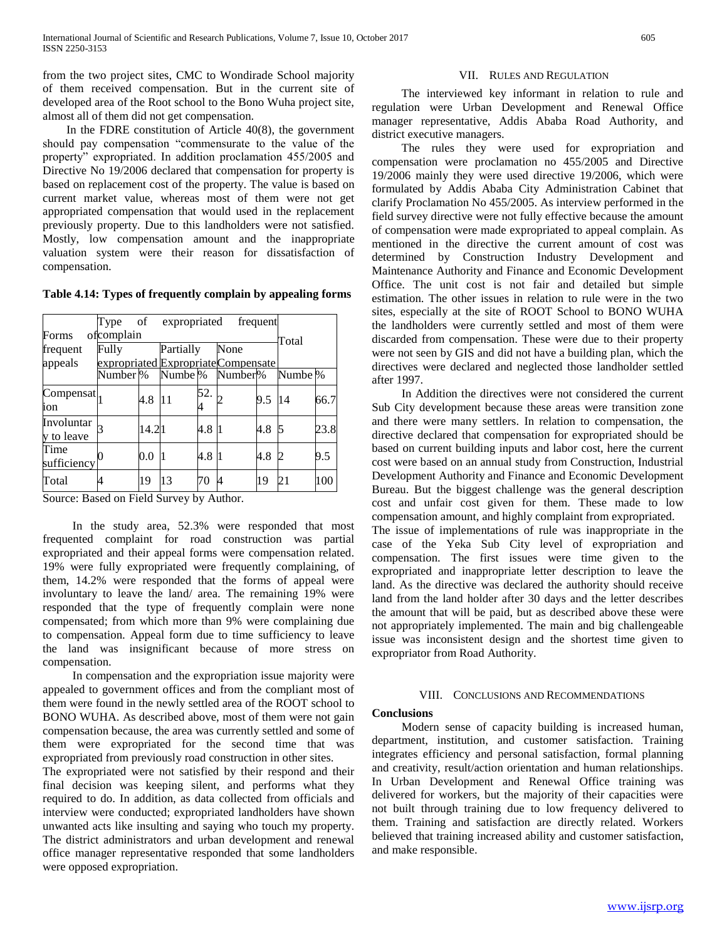from the two project sites, CMC to Wondirade School majority of them received compensation. But in the current site of developed area of the Root school to the Bono Wuha project site, almost all of them did not get compensation.

 In the FDRE constitution of Article 40(8), the government should pay compensation "commensurate to the value of the property" expropriated. In addition proclamation 455/2005 and Directive No 19/2006 declared that compensation for property is based on replacement cost of the property. The value is based on current market value, whereas most of them were not get appropriated compensation that would used in the replacement previously property. Due to this landholders were not satisfied. Mostly, low compensation amount and the inappropriate valuation system were their reason for dissatisfaction of compensation.

**Table 4.14: Types of frequently complain by appealing forms**

|                             | Type of expropriated                |       |                      |     |                     | frequent |                      |      |
|-----------------------------|-------------------------------------|-------|----------------------|-----|---------------------|----------|----------------------|------|
| Forms                       | ofcomplain                          |       |                      |     |                     |          | Total                |      |
| Fully<br>frequent           |                                     |       | Partially            |     | None                |          |                      |      |
| appeals                     | expropriated Expropriate Compensate |       |                      |     |                     |          |                      |      |
|                             | Number %                            |       | Numbe <sup>1</sup> % |     | Number <sup>%</sup> |          | Numbe <sup>[%]</sup> |      |
| $\text{Compensat}\,$<br>ion |                                     | 4.8   | 11                   | 52. |                     | 9.5      | 14                   | 66.7 |
| Involuntar<br>y to leave    |                                     | 14.21 |                      | 4.8 |                     | 4.8      |                      | 23.8 |
| Time<br>sufficiency         |                                     | 0.0   |                      | 4.8 |                     | 4.8      | D                    | 9.5  |
| Total                       |                                     | 19    | 13                   | 70  |                     | 19       | 21                   | 100  |

Source: Based on Field Survey by Author.

 In the study area, 52.3% were responded that most frequented complaint for road construction was partial expropriated and their appeal forms were compensation related. 19% were fully expropriated were frequently complaining, of them, 14.2% were responded that the forms of appeal were involuntary to leave the land/ area. The remaining 19% were responded that the type of frequently complain were none compensated; from which more than 9% were complaining due to compensation. Appeal form due to time sufficiency to leave the land was insignificant because of more stress on compensation.

 In compensation and the expropriation issue majority were appealed to government offices and from the compliant most of them were found in the newly settled area of the ROOT school to BONO WUHA. As described above, most of them were not gain compensation because, the area was currently settled and some of them were expropriated for the second time that was expropriated from previously road construction in other sites.

The expropriated were not satisfied by their respond and their final decision was keeping silent, and performs what they required to do. In addition, as data collected from officials and interview were conducted; expropriated landholders have shown unwanted acts like insulting and saying who touch my property. The district administrators and urban development and renewal office manager representative responded that some landholders were opposed expropriation.

## VII. RULES AND REGULATION

 The interviewed key informant in relation to rule and regulation were Urban Development and Renewal Office manager representative, Addis Ababa Road Authority, and district executive managers.

 The rules they were used for expropriation and compensation were proclamation no 455/2005 and Directive 19/2006 mainly they were used directive 19/2006, which were formulated by Addis Ababa City Administration Cabinet that clarify Proclamation No 455/2005. As interview performed in the field survey directive were not fully effective because the amount of compensation were made expropriated to appeal complain. As mentioned in the directive the current amount of cost was determined by Construction Industry Development and Maintenance Authority and Finance and Economic Development Office. The unit cost is not fair and detailed but simple estimation. The other issues in relation to rule were in the two sites, especially at the site of ROOT School to BONO WUHA the landholders were currently settled and most of them were discarded from compensation. These were due to their property were not seen by GIS and did not have a building plan, which the directives were declared and neglected those landholder settled after 1997.

 In Addition the directives were not considered the current Sub City development because these areas were transition zone and there were many settlers. In relation to compensation, the directive declared that compensation for expropriated should be based on current building inputs and labor cost, here the current cost were based on an annual study from Construction, Industrial Development Authority and Finance and Economic Development Bureau. But the biggest challenge was the general description cost and unfair cost given for them. These made to low compensation amount, and highly complaint from expropriated. The issue of implementations of rule was inappropriate in the case of the Yeka Sub City level of expropriation and compensation. The first issues were time given to the expropriated and inappropriate letter description to leave the land. As the directive was declared the authority should receive land from the land holder after 30 days and the letter describes the amount that will be paid, but as described above these were not appropriately implemented. The main and big challengeable issue was inconsistent design and the shortest time given to expropriator from Road Authority.

# VIII. CONCLUSIONS AND RECOMMENDATIONS

# **Conclusions**

 Modern sense of capacity building is increased human, department, institution, and customer satisfaction. Training integrates efficiency and personal satisfaction, formal planning and creativity, result/action orientation and human relationships. In Urban Development and Renewal Office training was delivered for workers, but the majority of their capacities were not built through training due to low frequency delivered to them. Training and satisfaction are directly related. Workers believed that training increased ability and customer satisfaction, and make responsible.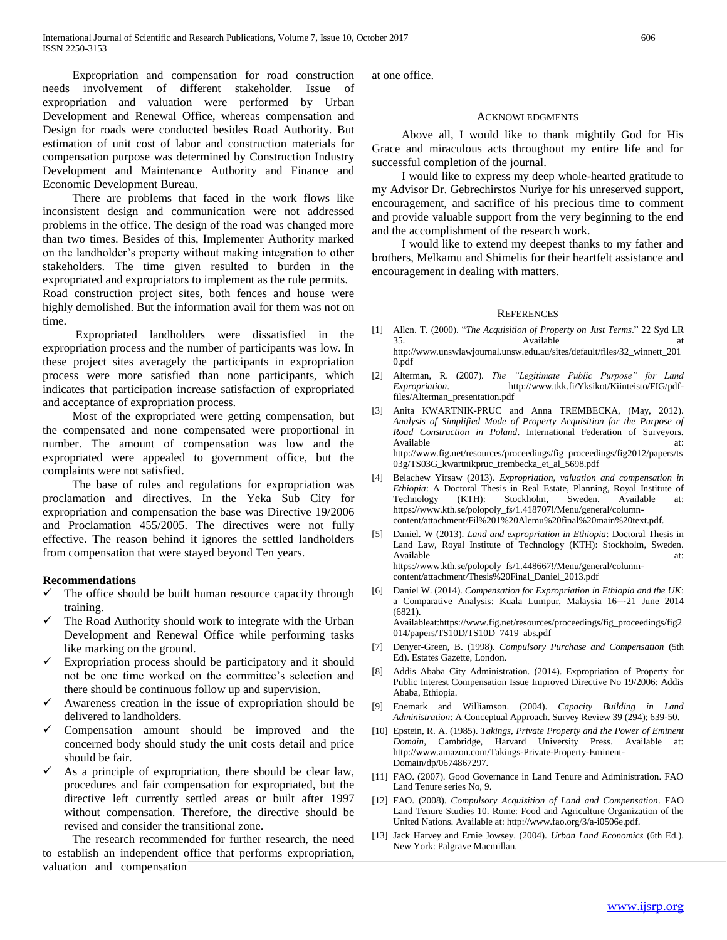Expropriation and compensation for road construction needs involvement of different stakeholder. Issue of expropriation and valuation were performed by Urban Development and Renewal Office, whereas compensation and Design for roads were conducted besides Road Authority. But estimation of unit cost of labor and construction materials for compensation purpose was determined by Construction Industry Development and Maintenance Authority and Finance and Economic Development Bureau.

 There are problems that faced in the work flows like inconsistent design and communication were not addressed problems in the office. The design of the road was changed more than two times. Besides of this, Implementer Authority marked on the landholder's property without making integration to other stakeholders. The time given resulted to burden in the expropriated and expropriators to implement as the rule permits.

Road construction project sites, both fences and house were highly demolished. But the information avail for them was not on time.

 Expropriated landholders were dissatisfied in the expropriation process and the number of participants was low. In these project sites averagely the participants in expropriation process were more satisfied than none participants, which indicates that participation increase satisfaction of expropriated and acceptance of expropriation process.

 Most of the expropriated were getting compensation, but the compensated and none compensated were proportional in number. The amount of compensation was low and the expropriated were appealed to government office, but the complaints were not satisfied.

 The base of rules and regulations for expropriation was proclamation and directives. In the Yeka Sub City for expropriation and compensation the base was Directive 19/2006 and Proclamation 455/2005. The directives were not fully effective. The reason behind it ignores the settled landholders from compensation that were stayed beyond Ten years.

# **Recommendations**

- The office should be built human resource capacity through training.
- The Road Authority should work to integrate with the Urban Development and Renewal Office while performing tasks like marking on the ground.
- Expropriation process should be participatory and it should not be one time worked on the committee's selection and there should be continuous follow up and supervision.
- Awareness creation in the issue of expropriation should be delivered to landholders.
- Compensation amount should be improved and the concerned body should study the unit costs detail and price should be fair.
- As a principle of expropriation, there should be clear law, procedures and fair compensation for expropriated, but the directive left currently settled areas or built after 1997 without compensation. Therefore, the directive should be revised and consider the transitional zone.

 The research recommended for further research, the need to establish an independent office that performs expropriation, valuation and compensation

at one office.

# ACKNOWLEDGMENTS

 Above all, I would like to thank mightily God for His Grace and miraculous acts throughout my entire life and for successful completion of the journal.

 I would like to express my deep whole-hearted gratitude to my Advisor Dr. Gebrechirstos Nuriye for his unreserved support, encouragement, and sacrifice of his precious time to comment and provide valuable support from the very beginning to the end and the accomplishment of the research work.

 I would like to extend my deepest thanks to my father and brothers, Melkamu and Shimelis for their heartfelt assistance and encouragement in dealing with matters.

### **REFERENCES**

- [1] Allen. T. (2000). "*The Acquisition of Property on Just Terms*." 22 Syd LR 35. Available http://www.unswlawjournal.unsw.edu.au/sites/default/files/32\_winnett\_201 0.pdf
- [2] Alterman, R. (2007). *The "Legitimate Public Purpose" for Land Expropriation*. http://www.tkk.fi/Yksikot/Kiinteisto/FIG/pdffiles/Alterman\_presentation.pdf
- [3] Anita KWARTNIK-PRUC and Anna TREMBECKA, (May, 2012). *Analysis of Simplified Mode of Property Acquisition for the Purpose of Road Construction in Poland*. International Federation of Surveyors. Available at:  $\overline{a}$  at: http://www.fig.net/resources/proceedings/fig\_proceedings/fig2012/papers/ts 03g/TS03G\_kwartnikpruc\_trembecka\_et\_al\_5698.pdf
- [4] Belachew Yirsaw (2013). *Expropriation, valuation and compensation in Ethiopia*: A Doctoral Thesis in Real Estate, Planning, Royal Institute of Technology (KTH): Stockholm, Sweden. Available at: (KTH): Stockholm, Sweden. Available at: https://www.kth.se/polopoly\_fs/1.418707!/Menu/general/columncontent/attachment/Fil%201%20Alemu%20final%20main%20text.pdf.
- [5] Daniel. W (2013). *Land and expropriation in Ethiopia*: Doctoral Thesis in Land Law, Royal Institute of Technology (KTH): Stockholm, Sweden. Available at:  $\overline{a}$  at: https://www.kth.se/polopoly\_fs/1.448667!/Menu/general/columncontent/attachment/Thesis%20Final\_Daniel\_2013.pdf
- [6] Daniel W. (2014). *Compensation for Expropriation in Ethiopia and the UK*: a Comparative Analysis: Kuala Lumpur, Malaysia 16--‐21 June 2014 (6821). Availableat:https://www.fig.net/resources/proceedings/fig\_proceedings/fig2

014/papers/TS10D/TS10D\_7419\_abs.pdf

- [7] Denyer-Green, B. (1998). *Compulsory Purchase and Compensation* (5th Ed). Estates Gazette, London.
- [8] Addis Ababa City Administration. (2014). Expropriation of Property for Public Interest Compensation Issue Improved Directive No 19/2006: Addis Ababa, Ethiopia.
- [9] Enemark and Williamson. (2004). *Capacity Building in Land Administration*: A Conceptual Approach. Survey Review 39 (294); 639-50.
- [10] Epstein, R. A. (1985). *Takings, Private Property and the Power of Eminent Domain*, Cambridge, Harvard University Press. Available at: http://www.amazon.com/Takings-Private-Property-Eminent-Domain/dp/0674867297.
- [11] FAO. (2007). Good Governance in Land Tenure and Administration. FAO Land Tenure series No, 9.
- [12] FAO. (2008). *Compulsory Acquisition of Land and Compensation*. FAO Land Tenure Studies 10. Rome: Food and Agriculture Organization of the United Nations. Available at: http://www.fao.org/3/a-i0506e.pdf.
- [13] Jack Harvey and Ernie Jowsey. (2004). *Urban Land Economics* (6th Ed.). New York: Palgrave Macmillan.